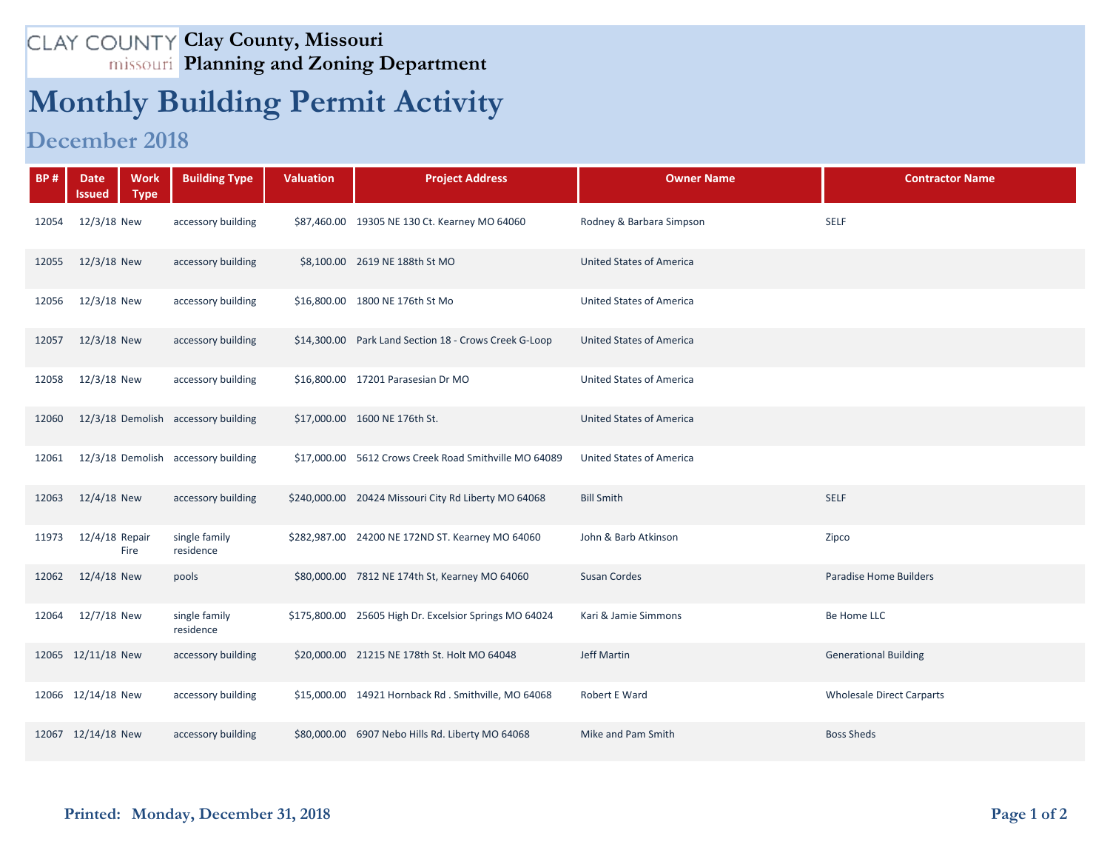## **Clay County, Missouri Planning and Zoning Department**

## **Monthly Building Permit Activity**

## **December 2018**

| <b>BP#</b> | <b>Work</b><br><b>Date</b><br><b>Type</b><br><b>Issued</b> | <b>Building Type</b>       | <b>Valuation</b> | <b>Project Address</b>                                 | <b>Owner Name</b>               | <b>Contractor Name</b>           |
|------------|------------------------------------------------------------|----------------------------|------------------|--------------------------------------------------------|---------------------------------|----------------------------------|
| 12054      | 12/3/18 New                                                | accessory building         |                  | \$87,460.00 19305 NE 130 Ct. Kearney MO 64060          | Rodney & Barbara Simpson        | <b>SELF</b>                      |
| 12055      | 12/3/18 New                                                | accessory building         |                  | \$8,100.00 2619 NE 188th St MO                         | <b>United States of America</b> |                                  |
| 12056      | 12/3/18 New                                                | accessory building         |                  | \$16,800.00 1800 NE 176th St Mo                        | <b>United States of America</b> |                                  |
| 12057      | 12/3/18 New                                                | accessory building         |                  | \$14,300.00 Park Land Section 18 - Crows Creek G-Loop  | <b>United States of America</b> |                                  |
| 12058      | 12/3/18 New                                                | accessory building         |                  | \$16,800.00 17201 Parasesian Dr MO                     | <b>United States of America</b> |                                  |
| 12060      | 12/3/18 Demolish accessory building                        |                            |                  | \$17,000.00 1600 NE 176th St.                          | <b>United States of America</b> |                                  |
| 12061      | 12/3/18 Demolish accessory building                        |                            |                  | \$17,000.00 5612 Crows Creek Road Smithville MO 64089  | <b>United States of America</b> |                                  |
| 12063      | 12/4/18 New                                                | accessory building         |                  | \$240,000.00 20424 Missouri City Rd Liberty MO 64068   | <b>Bill Smith</b>               | <b>SELF</b>                      |
| 11973      | 12/4/18 Repair<br>Fire                                     | single family<br>residence |                  | \$282,987.00 24200 NE 172ND ST. Kearney MO 64060       | John & Barb Atkinson            | Zipco                            |
| 12062      | 12/4/18 New                                                | pools                      |                  | \$80,000.00 7812 NE 174th St, Kearney MO 64060         | <b>Susan Cordes</b>             | <b>Paradise Home Builders</b>    |
| 12064      | 12/7/18 New                                                | single family<br>residence |                  | \$175,800.00 25605 High Dr. Excelsior Springs MO 64024 | Kari & Jamie Simmons            | Be Home LLC                      |
|            | 12065 12/11/18 New                                         | accessory building         |                  | \$20,000.00 21215 NE 178th St. Holt MO 64048           | <b>Jeff Martin</b>              | <b>Generational Building</b>     |
|            | 12066 12/14/18 New                                         | accessory building         |                  | \$15,000.00 14921 Hornback Rd . Smithville, MO 64068   | Robert E Ward                   | <b>Wholesale Direct Carparts</b> |
|            | 12067 12/14/18 New                                         | accessory building         |                  | \$80,000.00 6907 Nebo Hills Rd. Liberty MO 64068       | Mike and Pam Smith              | <b>Boss Sheds</b>                |